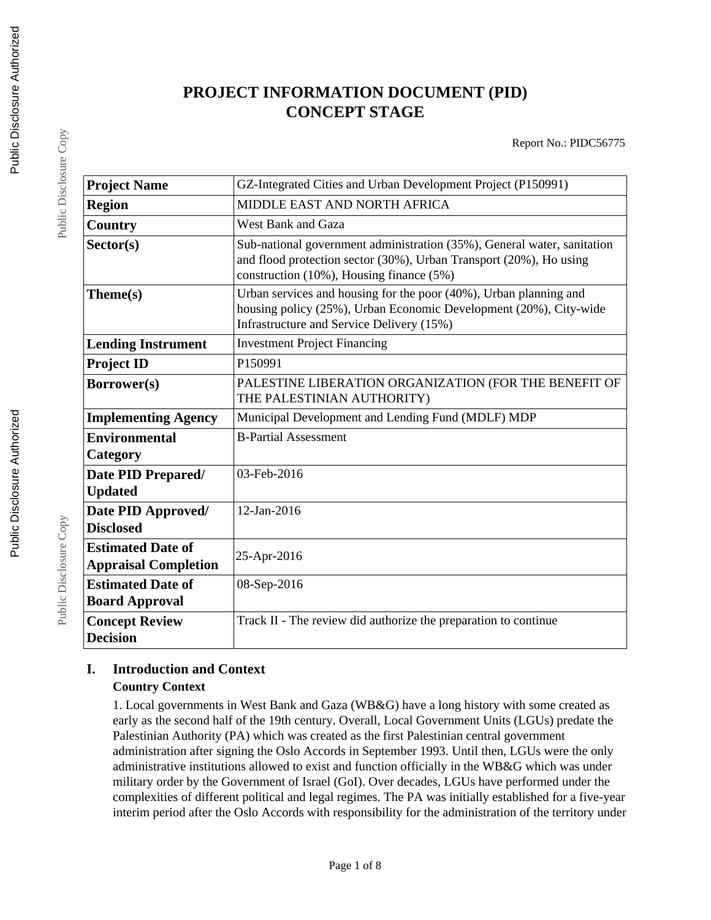## **PROJECT INFORMATION DOCUMENT (PID) CONCEPT STAGE**

| <b>Project Name</b>                                     | GZ-Integrated Cities and Urban Development Project (P150991)                                                                                                                              |
|---------------------------------------------------------|-------------------------------------------------------------------------------------------------------------------------------------------------------------------------------------------|
| <b>Region</b>                                           | <b>MIDDLE EAST AND NORTH AFRICA</b>                                                                                                                                                       |
| Country                                                 | <b>West Bank and Gaza</b>                                                                                                                                                                 |
| Sector(s)                                               | Sub-national government administration (35%), General water, sanitation<br>and flood protection sector (30%), Urban Transport (20%), Ho using<br>construction (10%), Housing finance (5%) |
| Theme(s)                                                | Urban services and housing for the poor (40%), Urban planning and<br>housing policy (25%), Urban Economic Development (20%), City-wide<br>Infrastructure and Service Delivery (15%)       |
| <b>Lending Instrument</b>                               | <b>Investment Project Financing</b>                                                                                                                                                       |
| <b>Project ID</b>                                       | P150991                                                                                                                                                                                   |
| Borrower(s)                                             | PALESTINE LIBERATION ORGANIZATION (FOR THE BENEFIT OF<br>THE PALESTINIAN AUTHORITY)                                                                                                       |
| <b>Implementing Agency</b>                              | Municipal Development and Lending Fund (MDLF) MDP                                                                                                                                         |
| <b>Environmental</b><br>Category                        | <b>B-Partial Assessment</b>                                                                                                                                                               |
| Date PID Prepared/<br><b>Updated</b>                    | 03-Feb-2016                                                                                                                                                                               |
| Date PID Approved/<br><b>Disclosed</b>                  | 12-Jan-2016                                                                                                                                                                               |
| <b>Estimated Date of</b><br><b>Appraisal Completion</b> | 25-Apr-2016                                                                                                                                                                               |
| <b>Estimated Date of</b><br><b>Board Approval</b>       | 08-Sep-2016                                                                                                                                                                               |
| <b>Concept Review</b><br><b>Decision</b>                | Track II - The review did authorize the preparation to continue                                                                                                                           |

# **I. Introduction and Context**

**Country Context**

1. Local governments in West Bank and Gaza (WB&G) have a long history with some created as early as the second half of the 19th century. Overall, Local Government Units (LGUs) predate the Palestinian Authority (PA) which was created as the first Palestinian central government administration after signing the Oslo Accords in September 1993. Until then, LGUs were the only administrative institutions allowed to exist and function officially in the WB&G which was under military order by the Government of Israel (GoI). Over decades, LGUs have performed under the complexities of different political and legal regimes. The PA was initially established for a five-year interim period after the Oslo Accords with responsibility for the administration of the territory under

Public Disclosure Copy

Public Disclosure Copy

Public Disclosure Copy

Public Disclosure Copy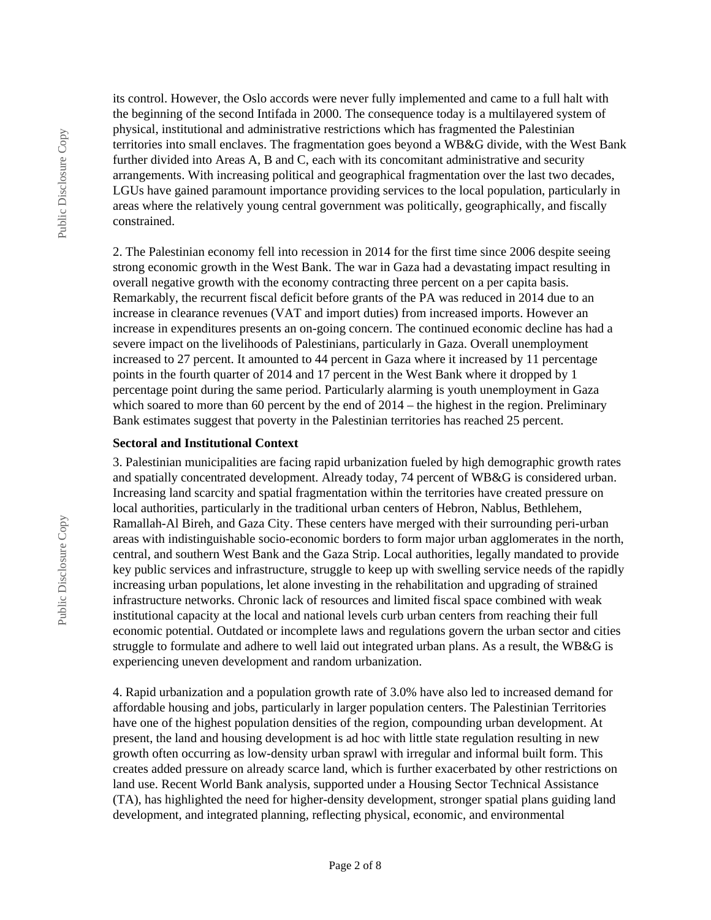Public Disclosure Copy Public Disclosure Copy its control. However, the Oslo accords were never fully implemented and came to a full halt with the beginning of the second Intifada in 2000. The consequence today is a multilayered system of physical, institutional and administrative restrictions which has fragmented the Palestinian territories into small enclaves. The fragmentation goes beyond a WB&G divide, with the West Bank further divided into Areas A, B and C, each with its concomitant administrative and security arrangements. With increasing political and geographical fragmentation over the last two decades, LGUs have gained paramount importance providing services to the local population, particularly in areas where the relatively young central government was politically, geographically, and fiscally constrained.

2. The Palestinian economy fell into recession in 2014 for the first time since 2006 despite seeing strong economic growth in the West Bank. The war in Gaza had a devastating impact resulting in overall negative growth with the economy contracting three percent on a per capita basis. Remarkably, the recurrent fiscal deficit before grants of the PA was reduced in 2014 due to an increase in clearance revenues (VAT and import duties) from increased imports. However an increase in expenditures presents an on-going concern. The continued economic decline has had a severe impact on the livelihoods of Palestinians, particularly in Gaza. Overall unemployment increased to 27 percent. It amounted to 44 percent in Gaza where it increased by 11 percentage points in the fourth quarter of 2014 and 17 percent in the West Bank where it dropped by 1 percentage point during the same period. Particularly alarming is youth unemployment in Gaza which soared to more than 60 percent by the end of  $2014 -$  the highest in the region. Preliminary Bank estimates suggest that poverty in the Palestinian territories has reached 25 percent.

#### **Sectoral and Institutional Context**

3. Palestinian municipalities are facing rapid urbanization fueled by high demographic growth rates and spatially concentrated development. Already today, 74 percent of WB&G is considered urban. Increasing land scarcity and spatial fragmentation within the territories have created pressure on local authorities, particularly in the traditional urban centers of Hebron, Nablus, Bethlehem, Ramallah-Al Bireh, and Gaza City. These centers have merged with their surrounding peri-urban areas with indistinguishable socio-economic borders to form major urban agglomerates in the north, central, and southern West Bank and the Gaza Strip. Local authorities, legally mandated to provide key public services and infrastructure, struggle to keep up with swelling service needs of the rapidly increasing urban populations, let alone investing in the rehabilitation and upgrading of strained infrastructure networks. Chronic lack of resources and limited fiscal space combined with weak institutional capacity at the local and national levels curb urban centers from reaching their full economic potential. Outdated or incomplete laws and regulations govern the urban sector and cities struggle to formulate and adhere to well laid out integrated urban plans. As a result, the WB&G is experiencing uneven development and random urbanization.

4. Rapid urbanization and a population growth rate of 3.0% have also led to increased demand for affordable housing and jobs, particularly in larger population centers. The Palestinian Territories have one of the highest population densities of the region, compounding urban development. At present, the land and housing development is ad hoc with little state regulation resulting in new growth often occurring as low-density urban sprawl with irregular and informal built form. This creates added pressure on already scarce land, which is further exacerbated by other restrictions on land use. Recent World Bank analysis, supported under a Housing Sector Technical Assistance (TA), has highlighted the need for higher-density development, stronger spatial plans guiding land development, and integrated planning, reflecting physical, economic, and environmental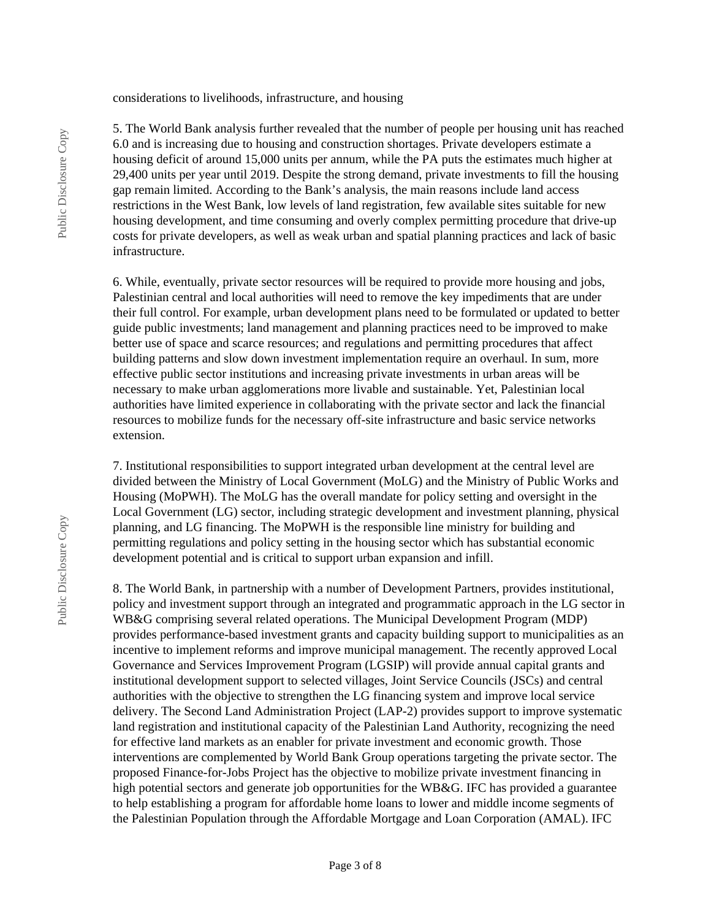#### considerations to livelihoods, infrastructure, and housing

5. The World Bank analysis further revealed that the number of people per housing unit has reached 6.0 and is increasing due to housing and construction shortages. Private developers estimate a housing deficit of around 15,000 units per annum, while the PA puts the estimates much higher at 29,400 units per year until 2019. Despite the strong demand, private investments to fill the housing gap remain limited. According to the Bank's analysis, the main reasons include land access restrictions in the West Bank, low levels of land registration, few available sites suitable for new housing development, and time consuming and overly complex permitting procedure that drive-up costs for private developers, as well as weak urban and spatial planning practices and lack of basic infrastructure.

6. While, eventually, private sector resources will be required to provide more housing and jobs, Palestinian central and local authorities will need to remove the key impediments that are under their full control. For example, urban development plans need to be formulated or updated to better guide public investments; land management and planning practices need to be improved to make better use of space and scarce resources; and regulations and permitting procedures that affect building patterns and slow down investment implementation require an overhaul. In sum, more effective public sector institutions and increasing private investments in urban areas will be necessary to make urban agglomerations more livable and sustainable. Yet, Palestinian local authorities have limited experience in collaborating with the private sector and lack the financial resources to mobilize funds for the necessary off-site infrastructure and basic service networks extension.

7. Institutional responsibilities to support integrated urban development at the central level are divided between the Ministry of Local Government (MoLG) and the Ministry of Public Works and Housing (MoPWH). The MoLG has the overall mandate for policy setting and oversight in the Local Government (LG) sector, including strategic development and investment planning, physical planning, and LG financing. The MoPWH is the responsible line ministry for building and permitting regulations and policy setting in the housing sector which has substantial economic development potential and is critical to support urban expansion and infill.

8. The World Bank, in partnership with a number of Development Partners, provides institutional, policy and investment support through an integrated and programmatic approach in the LG sector in WB&G comprising several related operations. The Municipal Development Program (MDP) provides performance-based investment grants and capacity building support to municipalities as an incentive to implement reforms and improve municipal management. The recently approved Local Governance and Services Improvement Program (LGSIP) will provide annual capital grants and institutional development support to selected villages, Joint Service Councils (JSCs) and central authorities with the objective to strengthen the LG financing system and improve local service delivery. The Second Land Administration Project (LAP-2) provides support to improve systematic land registration and institutional capacity of the Palestinian Land Authority, recognizing the need for effective land markets as an enabler for private investment and economic growth. Those interventions are complemented by World Bank Group operations targeting the private sector. The proposed Finance-for-Jobs Project has the objective to mobilize private investment financing in high potential sectors and generate job opportunities for the WB&G. IFC has provided a guarantee to help establishing a program for affordable home loans to lower and middle income segments of the Palestinian Population through the Affordable Mortgage and Loan Corporation (AMAL). IFC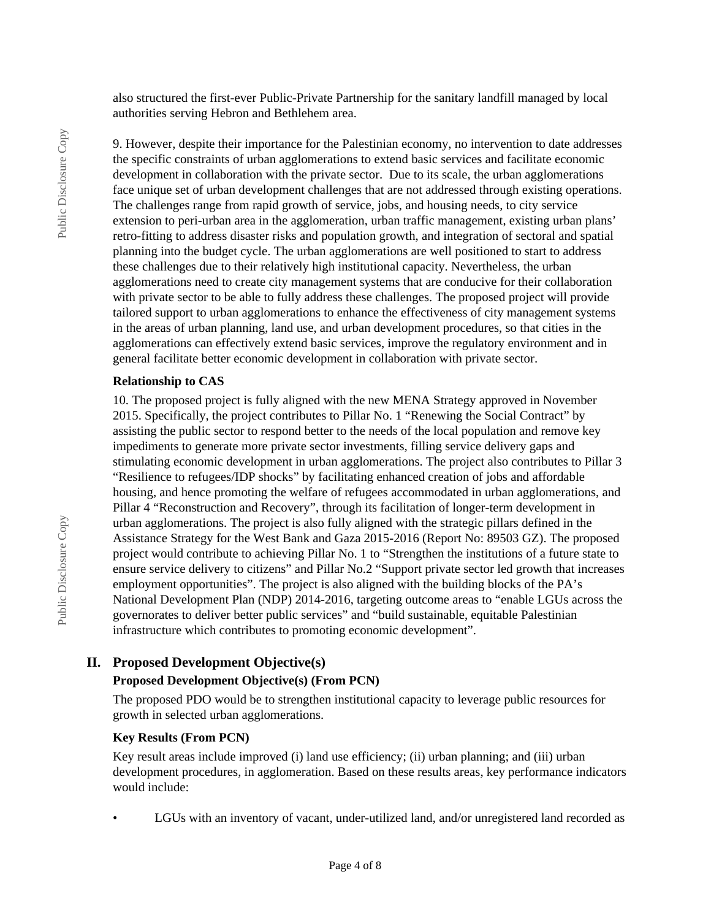also structured the first-ever Public-Private Partnership for the sanitary landfill managed by local authorities serving Hebron and Bethlehem area.

9. However, despite their importance for the Palestinian economy, no intervention to date addresses the specific constraints of urban agglomerations to extend basic services and facilitate economic development in collaboration with the private sector. Due to its scale, the urban agglomerations face unique set of urban development challenges that are not addressed through existing operations. The challenges range from rapid growth of service, jobs, and housing needs, to city service extension to peri-urban area in the agglomeration, urban traffic management, existing urban plans' retro-fitting to address disaster risks and population growth, and integration of sectoral and spatial planning into the budget cycle. The urban agglomerations are well positioned to start to address these challenges due to their relatively high institutional capacity. Nevertheless, the urban agglomerations need to create city management systems that are conducive for their collaboration with private sector to be able to fully address these challenges. The proposed project will provide tailored support to urban agglomerations to enhance the effectiveness of city management systems in the areas of urban planning, land use, and urban development procedures, so that cities in the agglomerations can effectively extend basic services, improve the regulatory environment and in general facilitate better economic development in collaboration with private sector.

#### **Relationship to CAS**

10. The proposed project is fully aligned with the new MENA Strategy approved in November 2015. Specifically, the project contributes to Pillar No. 1 "Renewing the Social Contract" by assisting the public sector to respond better to the needs of the local population and remove key impediments to generate more private sector investments, filling service delivery gaps and stimulating economic development in urban agglomerations. The project also contributes to Pillar 3 "Resilience to refugees/IDP shocks" by facilitating enhanced creation of jobs and affordable housing, and hence promoting the welfare of refugees accommodated in urban agglomerations, and Pillar 4 "Reconstruction and Recovery", through its facilitation of longer-term development in urban agglomerations. The project is also fully aligned with the strategic pillars defined in the Assistance Strategy for the West Bank and Gaza 2015-2016 (Report No: 89503 GZ). The proposed project would contribute to achieving Pillar No. 1 to "Strengthen the institutions of a future state to ensure service delivery to citizens" and Pillar No.2 "Support private sector led growth that increases employment opportunities". The project is also aligned with the building blocks of the PA's National Development Plan (NDP) 2014-2016, targeting outcome areas to "enable LGUs across the governorates to deliver better public services" and "build sustainable, equitable Palestinian infrastructure which contributes to promoting economic development".

#### **II. Proposed Development Objective(s)**

#### **Proposed Development Objective(s) (From PCN)**

The proposed PDO would be to strengthen institutional capacity to leverage public resources for growth in selected urban agglomerations.

#### **Key Results (From PCN)**

Key result areas include improved (i) land use efficiency; (ii) urban planning; and (iii) urban development procedures, in agglomeration. Based on these results areas, key performance indicators would include:

• LGUs with an inventory of vacant, under-utilized land, and/or unregistered land recorded as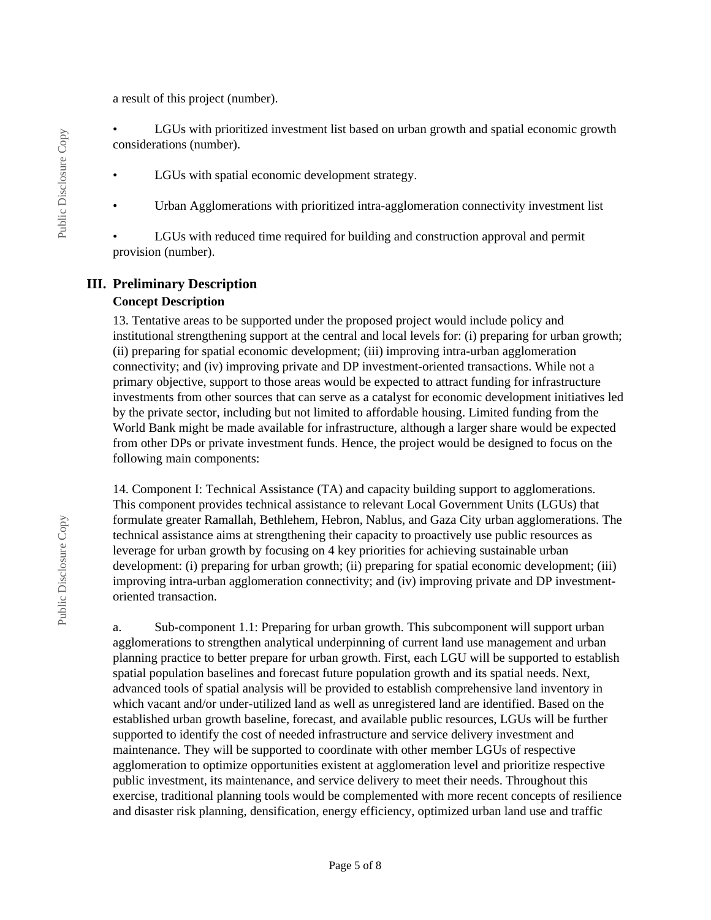a result of this project (number).

• LGUs with prioritized investment list based on urban growth and spatial economic growth considerations (number).

- LGUs with spatial economic development strategy.
- Urban Agglomerations with prioritized intra-agglomeration connectivity investment list

LGUs with reduced time required for building and construction approval and permit provision (number).

### **III. Preliminary Description**

#### **Concept Description**

13. Tentative areas to be supported under the proposed project would include policy and institutional strengthening support at the central and local levels for: (i) preparing for urban growth; (ii) preparing for spatial economic development; (iii) improving intra-urban agglomeration connectivity; and (iv) improving private and DP investment-oriented transactions. While not a primary objective, support to those areas would be expected to attract funding for infrastructure investments from other sources that can serve as a catalyst for economic development initiatives led by the private sector, including but not limited to affordable housing. Limited funding from the World Bank might be made available for infrastructure, although a larger share would be expected from other DPs or private investment funds. Hence, the project would be designed to focus on the following main components:

14. Component I: Technical Assistance (TA) and capacity building support to agglomerations. This component provides technical assistance to relevant Local Government Units (LGUs) that formulate greater Ramallah, Bethlehem, Hebron, Nablus, and Gaza City urban agglomerations. The technical assistance aims at strengthening their capacity to proactively use public resources as leverage for urban growth by focusing on 4 key priorities for achieving sustainable urban development: (i) preparing for urban growth; (ii) preparing for spatial economic development; (iii) improving intra-urban agglomeration connectivity; and (iv) improving private and DP investmentoriented transaction.

a. Sub-component 1.1: Preparing for urban growth. This subcomponent will support urban agglomerations to strengthen analytical underpinning of current land use management and urban planning practice to better prepare for urban growth. First, each LGU will be supported to establish spatial population baselines and forecast future population growth and its spatial needs. Next, advanced tools of spatial analysis will be provided to establish comprehensive land inventory in which vacant and/or under-utilized land as well as unregistered land are identified. Based on the established urban growth baseline, forecast, and available public resources, LGUs will be further supported to identify the cost of needed infrastructure and service delivery investment and maintenance. They will be supported to coordinate with other member LGUs of respective agglomeration to optimize opportunities existent at agglomeration level and prioritize respective public investment, its maintenance, and service delivery to meet their needs. Throughout this exercise, traditional planning tools would be complemented with more recent concepts of resilience and disaster risk planning, densification, energy efficiency, optimized urban land use and traffic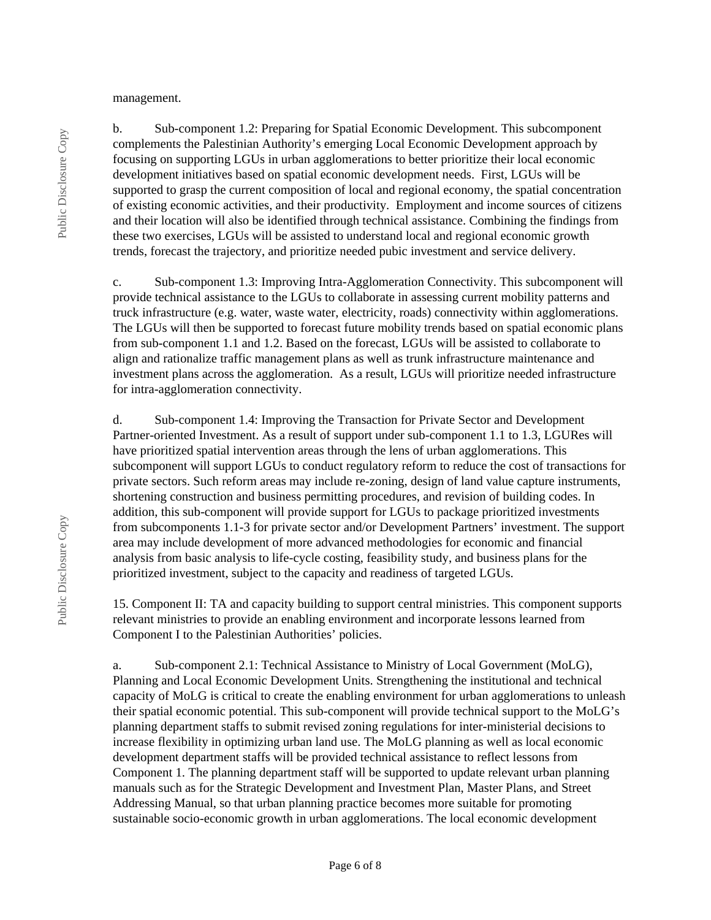management.

b. Sub-component 1.2: Preparing for Spatial Economic Development. This subcomponent complements the Palestinian Authority's emerging Local Economic Development approach by focusing on supporting LGUs in urban agglomerations to better prioritize their local economic development initiatives based on spatial economic development needs. First, LGUs will be supported to grasp the current composition of local and regional economy, the spatial concentration of existing economic activities, and their productivity. Employment and income sources of citizens and their location will also be identified through technical assistance. Combining the findings from these two exercises, LGUs will be assisted to understand local and regional economic growth trends, forecast the trajectory, and prioritize needed pubic investment and service delivery.

c. Sub-component 1.3: Improving Intra-Agglomeration Connectivity. This subcomponent will provide technical assistance to the LGUs to collaborate in assessing current mobility patterns and truck infrastructure (e.g. water, waste water, electricity, roads) connectivity within agglomerations. The LGUs will then be supported to forecast future mobility trends based on spatial economic plans from sub-component 1.1 and 1.2. Based on the forecast, LGUs will be assisted to collaborate to align and rationalize traffic management plans as well as trunk infrastructure maintenance and investment plans across the agglomeration. As a result, LGUs will prioritize needed infrastructure for intra-agglomeration connectivity.

d. Sub-component 1.4: Improving the Transaction for Private Sector and Development Partner-oriented Investment. As a result of support under sub-component 1.1 to 1.3, LGURes will have prioritized spatial intervention areas through the lens of urban agglomerations. This subcomponent will support LGUs to conduct regulatory reform to reduce the cost of transactions for private sectors. Such reform areas may include re-zoning, design of land value capture instruments, shortening construction and business permitting procedures, and revision of building codes. In addition, this sub-component will provide support for LGUs to package prioritized investments from subcomponents 1.1-3 for private sector and/or Development Partners' investment. The support area may include development of more advanced methodologies for economic and financial analysis from basic analysis to life-cycle costing, feasibility study, and business plans for the prioritized investment, subject to the capacity and readiness of targeted LGUs.

15. Component II: TA and capacity building to support central ministries. This component supports relevant ministries to provide an enabling environment and incorporate lessons learned from Component I to the Palestinian Authorities' policies.

a. Sub-component 2.1: Technical Assistance to Ministry of Local Government (MoLG), Planning and Local Economic Development Units. Strengthening the institutional and technical capacity of MoLG is critical to create the enabling environment for urban agglomerations to unleash their spatial economic potential. This sub-component will provide technical support to the MoLG's planning department staffs to submit revised zoning regulations for inter-ministerial decisions to increase flexibility in optimizing urban land use. The MoLG planning as well as local economic development department staffs will be provided technical assistance to reflect lessons from Component 1. The planning department staff will be supported to update relevant urban planning manuals such as for the Strategic Development and Investment Plan, Master Plans, and Street Addressing Manual, so that urban planning practice becomes more suitable for promoting sustainable socio-economic growth in urban agglomerations. The local economic development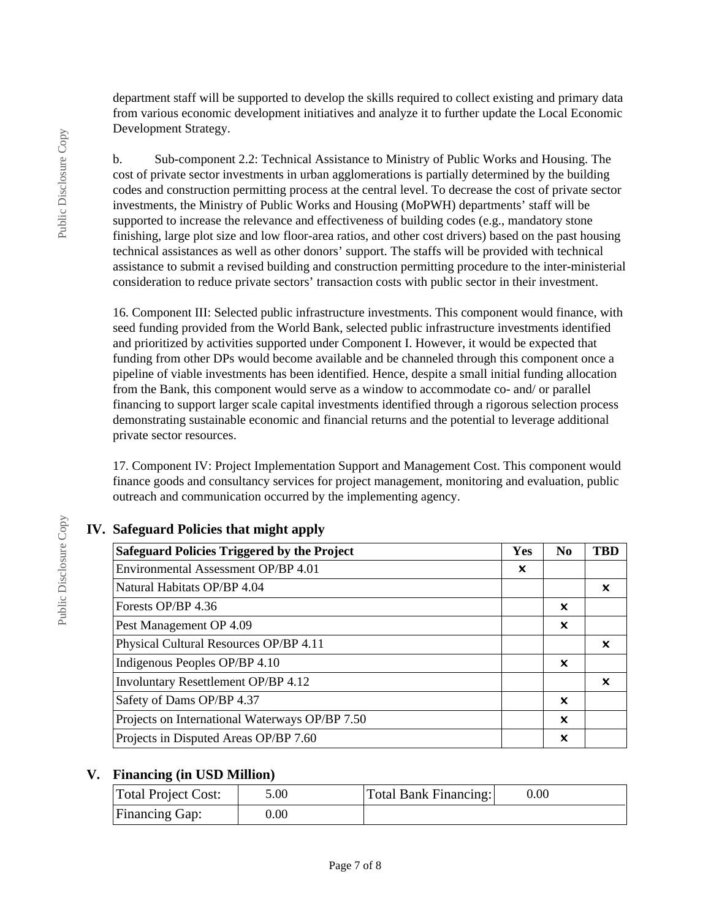department staff will be supported to develop the skills required to collect existing and primary data from various economic development initiatives and analyze it to further update the Local Economic Development Strategy.

b. Sub-component 2.2: Technical Assistance to Ministry of Public Works and Housing. The cost of private sector investments in urban agglomerations is partially determined by the building codes and construction permitting process at the central level. To decrease the cost of private sector investments, the Ministry of Public Works and Housing (MoPWH) departments' staff will be supported to increase the relevance and effectiveness of building codes (e.g., mandatory stone finishing, large plot size and low floor-area ratios, and other cost drivers) based on the past housing technical assistances as well as other donors' support. The staffs will be provided with technical assistance to submit a revised building and construction permitting procedure to the inter-ministerial consideration to reduce private sectors' transaction costs with public sector in their investment.

16. Component III: Selected public infrastructure investments. This component would finance, with seed funding provided from the World Bank, selected public infrastructure investments identified and prioritized by activities supported under Component I. However, it would be expected that funding from other DPs would become available and be channeled through this component once a pipeline of viable investments has been identified. Hence, despite a small initial funding allocation from the Bank, this component would serve as a window to accommodate co- and/ or parallel financing to support larger scale capital investments identified through a rigorous selection process demonstrating sustainable economic and financial returns and the potential to leverage additional private sector resources.

17. Component IV: Project Implementation Support and Management Cost. This component would finance goods and consultancy services for project management, monitoring and evaluation, public outreach and communication occurred by the implementing agency.

| <b>Safeguard Policies Triggered by the Project</b> | Yes | N <sub>0</sub> | <b>TRD</b> |
|----------------------------------------------------|-----|----------------|------------|
| Environmental Assessment OP/BP 4.01                | x   |                |            |
| Natural Habitats OP/BP 4.04                        |     |                | x          |
| Forests OP/BP 4.36                                 |     | ×              |            |
| Pest Management OP 4.09                            |     | ×              |            |
| Physical Cultural Resources OP/BP 4.11             |     |                | x          |
| Indigenous Peoples OP/BP 4.10                      |     | ×              |            |
| Involuntary Resettlement OP/BP 4.12                |     |                | x          |
| Safety of Dams OP/BP 4.37                          |     | ×              |            |
| Projects on International Waterways OP/BP 7.50     |     | ×              |            |
| Projects in Disputed Areas OP/BP 7.60              |     | x              |            |

## **IV. Safeguard Policies that might apply**

#### **V. Financing (in USD Million)**

| Total Project Cost:   | 5.00 | Total Bank Financing: | $0.00\,$ |
|-----------------------|------|-----------------------|----------|
| <b>Financing Gap:</b> | 0.00 |                       |          |